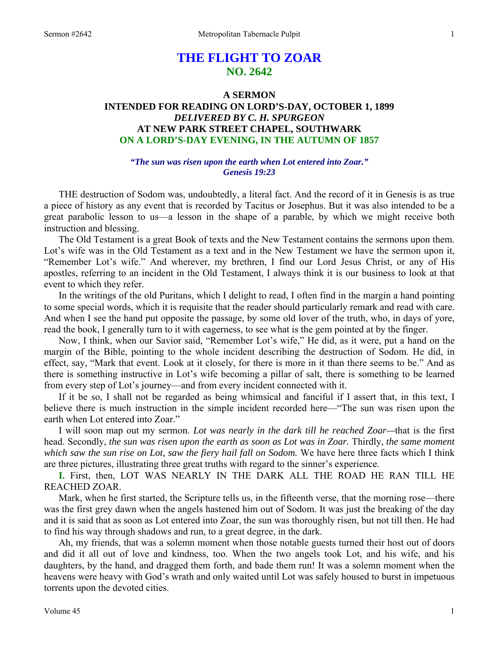# **THE FLIGHT TO ZOAR NO. 2642**

# **A SERMON INTENDED FOR READING ON LORD'S-DAY, OCTOBER 1, 1899**  *DELIVERED BY C. H. SPURGEON*  **AT NEW PARK STREET CHAPEL, SOUTHWARK ON A LORD'S-DAY EVENING, IN THE AUTUMN OF 1857**

## *"The sun was risen upon the earth when Lot entered into Zoar." Genesis 19:23*

THE destruction of Sodom was, undoubtedly, a literal fact. And the record of it in Genesis is as true a piece of history as any event that is recorded by Tacitus or Josephus. But it was also intended to be a great parabolic lesson to us—a lesson in the shape of a parable, by which we might receive both instruction and blessing.

 The Old Testament is a great Book of texts and the New Testament contains the sermons upon them. Lot's wife was in the Old Testament as a text and in the New Testament we have the sermon upon it, "Remember Lot's wife." And wherever, my brethren, I find our Lord Jesus Christ, or any of His apostles, referring to an incident in the Old Testament, I always think it is our business to look at that event to which they refer.

 In the writings of the old Puritans, which I delight to read, I often find in the margin a hand pointing to some special words, which it is requisite that the reader should particularly remark and read with care. And when I see the hand put opposite the passage, by some old lover of the truth, who, in days of yore, read the book, I generally turn to it with eagerness, to see what is the gem pointed at by the finger.

 Now, I think, when our Savior said, "Remember Lot's wife," He did, as it were, put a hand on the margin of the Bible, pointing to the whole incident describing the destruction of Sodom. He did, in effect, say, "Mark that event. Look at it closely, for there is more in it than there seems to be." And as there is something instructive in Lot's wife becoming a pillar of salt, there is something to be learned from every step of Lot's journey—and from every incident connected with it.

 If it be so, I shall not be regarded as being whimsical and fanciful if I assert that, in this text, I believe there is much instruction in the simple incident recorded here—"The sun was risen upon the earth when Lot entered into Zoar."

 I will soon map out my sermon. *Lot was nearly in the dark till he reached Zoar—*that is the first head. Secondly, *the sun was risen upon the earth as soon as Lot was in Zoar.* Thirdly, *the same moment*  which saw the sun rise on Lot, saw the fiery hail fall on Sodom. We have here three facts which I think are three pictures, illustrating three great truths with regard to the sinner's experience.

**I.** First, then, LOT WAS NEARLY IN THE DARK ALL THE ROAD HE RAN TILL HE REACHED ZOAR.

 Mark, when he first started, the Scripture tells us, in the fifteenth verse, that the morning rose—there was the first grey dawn when the angels hastened him out of Sodom. It was just the breaking of the day and it is said that as soon as Lot entered into Zoar, the sun was thoroughly risen, but not till then. He had to find his way through shadows and run, to a great degree, in the dark.

 Ah, my friends, that was a solemn moment when those notable guests turned their host out of doors and did it all out of love and kindness, too. When the two angels took Lot, and his wife, and his daughters, by the hand, and dragged them forth, and bade them run! It was a solemn moment when the heavens were heavy with God's wrath and only waited until Lot was safely housed to burst in impetuous torrents upon the devoted cities.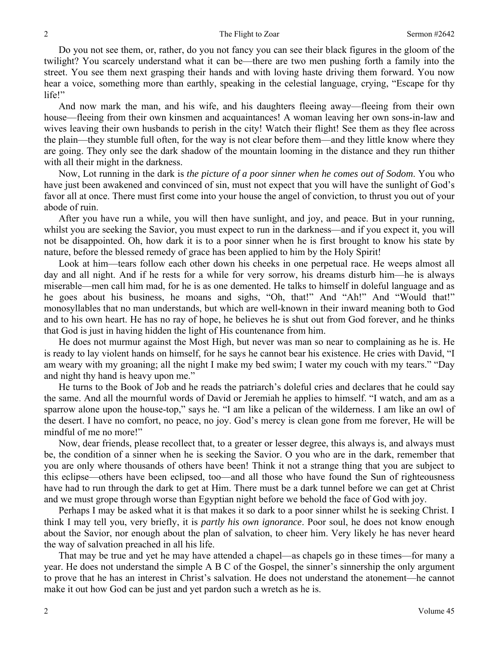Do you not see them, or, rather, do you not fancy you can see their black figures in the gloom of the twilight? You scarcely understand what it can be—there are two men pushing forth a family into the street. You see them next grasping their hands and with loving haste driving them forward. You now hear a voice, something more than earthly, speaking in the celestial language, crying, "Escape for thy life!"

 And now mark the man, and his wife, and his daughters fleeing away—fleeing from their own house—fleeing from their own kinsmen and acquaintances! A woman leaving her own sons-in-law and wives leaving their own husbands to perish in the city! Watch their flight! See them as they flee across the plain—they stumble full often, for the way is not clear before them—and they little know where they are going. They only see the dark shadow of the mountain looming in the distance and they run thither with all their might in the darkness.

 Now, Lot running in the dark is *the picture of a poor sinner when he comes out of Sodom*. You who have just been awakened and convinced of sin, must not expect that you will have the sunlight of God's favor all at once. There must first come into your house the angel of conviction, to thrust you out of your abode of ruin.

 After you have run a while, you will then have sunlight, and joy, and peace. But in your running, whilst you are seeking the Savior, you must expect to run in the darkness—and if you expect it, you will not be disappointed. Oh, how dark it is to a poor sinner when he is first brought to know his state by nature, before the blessed remedy of grace has been applied to him by the Holy Spirit!

 Look at him—tears follow each other down his cheeks in one perpetual race. He weeps almost all day and all night. And if he rests for a while for very sorrow, his dreams disturb him—he is always miserable—men call him mad, for he is as one demented. He talks to himself in doleful language and as he goes about his business, he moans and sighs, "Oh, that!" And "Ah!" And "Would that!" monosyllables that no man understands, but which are well-known in their inward meaning both to God and to his own heart. He has no ray of hope, he believes he is shut out from God forever, and he thinks that God is just in having hidden the light of His countenance from him.

 He does not murmur against the Most High, but never was man so near to complaining as he is. He is ready to lay violent hands on himself, for he says he cannot bear his existence. He cries with David, "I am weary with my groaning; all the night I make my bed swim; I water my couch with my tears." "Day and night thy hand is heavy upon me."

 He turns to the Book of Job and he reads the patriarch's doleful cries and declares that he could say the same. And all the mournful words of David or Jeremiah he applies to himself. "I watch, and am as a sparrow alone upon the house-top," says he. "I am like a pelican of the wilderness. I am like an owl of the desert. I have no comfort, no peace, no joy. God's mercy is clean gone from me forever, He will be mindful of me no more!"

 Now, dear friends, please recollect that, to a greater or lesser degree, this always is, and always must be, the condition of a sinner when he is seeking the Savior. O you who are in the dark, remember that you are only where thousands of others have been! Think it not a strange thing that you are subject to this eclipse—others have been eclipsed, too—and all those who have found the Sun of righteousness have had to run through the dark to get at Him. There must be a dark tunnel before we can get at Christ and we must grope through worse than Egyptian night before we behold the face of God with joy.

 Perhaps I may be asked what it is that makes it so dark to a poor sinner whilst he is seeking Christ. I think I may tell you, very briefly, it is *partly his own ignorance*. Poor soul, he does not know enough about the Savior, nor enough about the plan of salvation, to cheer him. Very likely he has never heard the way of salvation preached in all his life.

 That may be true and yet he may have attended a chapel—as chapels go in these times—for many a year. He does not understand the simple A B C of the Gospel, the sinner's sinnership the only argument to prove that he has an interest in Christ's salvation. He does not understand the atonement—he cannot make it out how God can be just and yet pardon such a wretch as he is.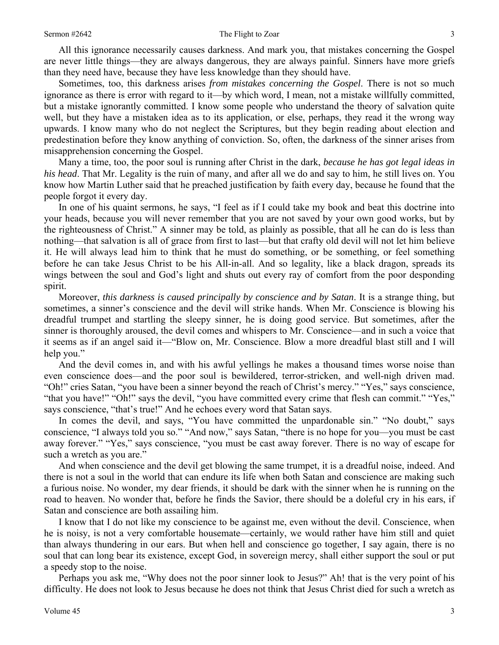All this ignorance necessarily causes darkness. And mark you, that mistakes concerning the Gospel are never little things—they are always dangerous, they are always painful. Sinners have more griefs than they need have, because they have less knowledge than they should have.

 Sometimes, too, this darkness arises *from mistakes concerning the Gospel*. There is not so much ignorance as there is error with regard to it—by which word, I mean, not a mistake willfully committed, but a mistake ignorantly committed. I know some people who understand the theory of salvation quite well, but they have a mistaken idea as to its application, or else, perhaps, they read it the wrong way upwards. I know many who do not neglect the Scriptures, but they begin reading about election and predestination before they know anything of conviction. So, often, the darkness of the sinner arises from misapprehension concerning the Gospel.

 Many a time, too, the poor soul is running after Christ in the dark, *because he has got legal ideas in his head*. That Mr. Legality is the ruin of many, and after all we do and say to him, he still lives on. You know how Martin Luther said that he preached justification by faith every day, because he found that the people forgot it every day.

 In one of his quaint sermons, he says, "I feel as if I could take my book and beat this doctrine into your heads, because you will never remember that you are not saved by your own good works, but by the righteousness of Christ." A sinner may be told, as plainly as possible, that all he can do is less than nothing—that salvation is all of grace from first to last—but that crafty old devil will not let him believe it. He will always lead him to think that he must do something, or be something, or feel something before he can take Jesus Christ to be his All-in-all. And so legality, like a black dragon, spreads its wings between the soul and God's light and shuts out every ray of comfort from the poor desponding spirit.

 Moreover, *this darkness is caused principally by conscience and by Satan*. It is a strange thing, but sometimes, a sinner's conscience and the devil will strike hands. When Mr. Conscience is blowing his dreadful trumpet and startling the sleepy sinner, he is doing good service. But sometimes, after the sinner is thoroughly aroused, the devil comes and whispers to Mr. Conscience—and in such a voice that it seems as if an angel said it—"Blow on, Mr. Conscience. Blow a more dreadful blast still and I will help you."

 And the devil comes in, and with his awful yellings he makes a thousand times worse noise than even conscience does—and the poor soul is bewildered, terror-stricken, and well-nigh driven mad. "Oh!" cries Satan, "you have been a sinner beyond the reach of Christ's mercy." "Yes," says conscience, "that you have!" "Oh!" says the devil, "you have committed every crime that flesh can commit." "Yes," says conscience, "that's true!" And he echoes every word that Satan says.

In comes the devil, and says, "You have committed the unpardonable sin." "No doubt," says conscience, "I always told you so." "And now," says Satan, "there is no hope for you—you must be cast away forever." "Yes," says conscience, "you must be cast away forever. There is no way of escape for such a wretch as you are."

 And when conscience and the devil get blowing the same trumpet, it is a dreadful noise, indeed. And there is not a soul in the world that can endure its life when both Satan and conscience are making such a furious noise. No wonder, my dear friends, it should be dark with the sinner when he is running on the road to heaven. No wonder that, before he finds the Savior, there should be a doleful cry in his ears, if Satan and conscience are both assailing him.

 I know that I do not like my conscience to be against me, even without the devil. Conscience, when he is noisy, is not a very comfortable housemate—certainly, we would rather have him still and quiet than always thundering in our ears. But when hell and conscience go together, I say again, there is no soul that can long bear its existence, except God, in sovereign mercy, shall either support the soul or put a speedy stop to the noise.

 Perhaps you ask me, "Why does not the poor sinner look to Jesus?" Ah! that is the very point of his difficulty. He does not look to Jesus because he does not think that Jesus Christ died for such a wretch as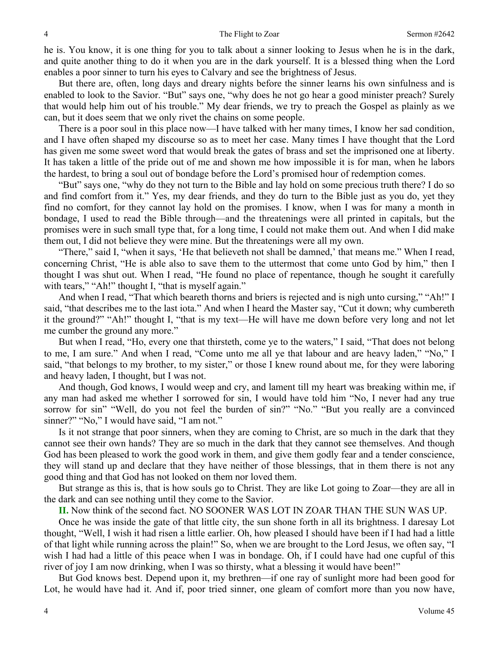he is. You know, it is one thing for you to talk about a sinner looking to Jesus when he is in the dark, and quite another thing to do it when you are in the dark yourself. It is a blessed thing when the Lord enables a poor sinner to turn his eyes to Calvary and see the brightness of Jesus.

 But there are, often, long days and dreary nights before the sinner learns his own sinfulness and is enabled to look to the Savior. "But" says one, "why does he not go hear a good minister preach? Surely that would help him out of his trouble." My dear friends, we try to preach the Gospel as plainly as we can, but it does seem that we only rivet the chains on some people.

 There is a poor soul in this place now—I have talked with her many times, I know her sad condition, and I have often shaped my discourse so as to meet her case. Many times I have thought that the Lord has given me some sweet word that would break the gates of brass and set the imprisoned one at liberty. It has taken a little of the pride out of me and shown me how impossible it is for man, when he labors the hardest, to bring a soul out of bondage before the Lord's promised hour of redemption comes.

 "But" says one, "why do they not turn to the Bible and lay hold on some precious truth there? I do so and find comfort from it." Yes, my dear friends, and they do turn to the Bible just as you do, yet they find no comfort, for they cannot lay hold on the promises. I know, when I was for many a month in bondage, I used to read the Bible through—and the threatenings were all printed in capitals, but the promises were in such small type that, for a long time, I could not make them out. And when I did make them out, I did not believe they were mine. But the threatenings were all my own.

 "There," said I, "when it says, 'He that believeth not shall be damned,' that means me." When I read, concerning Christ, "He is able also to save them to the uttermost that come unto God by him," then I thought I was shut out. When I read, "He found no place of repentance, though he sought it carefully with tears," "Ah!" thought I, "that is myself again."

 And when I read, "That which beareth thorns and briers is rejected and is nigh unto cursing," "Ah!" I said, "that describes me to the last iota." And when I heard the Master say, "Cut it down; why cumbereth it the ground?" "Ah!" thought I, "that is my text—He will have me down before very long and not let me cumber the ground any more."

 But when I read, "Ho, every one that thirsteth, come ye to the waters," I said, "That does not belong to me, I am sure." And when I read, "Come unto me all ye that labour and are heavy laden," "No," I said, "that belongs to my brother, to my sister," or those I knew round about me, for they were laboring and heavy laden, I thought, but I was not.

 And though, God knows, I would weep and cry, and lament till my heart was breaking within me, if any man had asked me whether I sorrowed for sin, I would have told him "No, I never had any true sorrow for sin" "Well, do you not feel the burden of sin?" "No." "But you really are a convinced sinner?" "No," I would have said, "I am not."

 Is it not strange that poor sinners, when they are coming to Christ, are so much in the dark that they cannot see their own hands? They are so much in the dark that they cannot see themselves. And though God has been pleased to work the good work in them, and give them godly fear and a tender conscience, they will stand up and declare that they have neither of those blessings, that in them there is not any good thing and that God has not looked on them nor loved them.

 But strange as this is, that is how souls go to Christ. They are like Lot going to Zoar—they are all in the dark and can see nothing until they come to the Savior.

**II.** Now think of the second fact. NO SOONER WAS LOT IN ZOAR THAN THE SUN WAS UP.

 Once he was inside the gate of that little city, the sun shone forth in all its brightness. I daresay Lot thought, "Well, I wish it had risen a little earlier. Oh, how pleased I should have been if I had had a little of that light while running across the plain!" So, when we are brought to the Lord Jesus, we often say, "I wish I had had a little of this peace when I was in bondage. Oh, if I could have had one cupful of this river of joy I am now drinking, when I was so thirsty, what a blessing it would have been!"

 But God knows best. Depend upon it, my brethren—if one ray of sunlight more had been good for Lot, he would have had it. And if, poor tried sinner, one gleam of comfort more than you now have,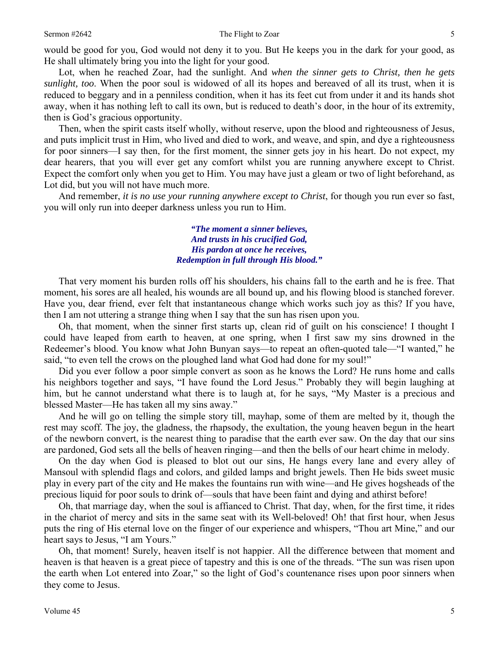would be good for you, God would not deny it to you. But He keeps you in the dark for your good, as He shall ultimately bring you into the light for your good.

 Lot, when he reached Zoar, had the sunlight. And *when the sinner gets to Christ, then he gets sunlight, too*. When the poor soul is widowed of all its hopes and bereaved of all its trust, when it is reduced to beggary and in a penniless condition, when it has its feet cut from under it and its hands shot away, when it has nothing left to call its own, but is reduced to death's door, in the hour of its extremity, then is God's gracious opportunity.

 Then, when the spirit casts itself wholly, without reserve, upon the blood and righteousness of Jesus, and puts implicit trust in Him, who lived and died to work, and weave, and spin, and dye a righteousness for poor sinners—I say then, for the first moment, the sinner gets joy in his heart. Do not expect, my dear hearers, that you will ever get any comfort whilst you are running anywhere except to Christ. Expect the comfort only when you get to Him. You may have just a gleam or two of light beforehand, as Lot did, but you will not have much more.

 And remember, *it is no use your running anywhere except to Christ*, for though you run ever so fast, you will only run into deeper darkness unless you run to Him.

> *"The moment a sinner believes, And trusts in his crucified God, His pardon at once he receives, Redemption in full through His blood."*

 That very moment his burden rolls off his shoulders, his chains fall to the earth and he is free. That moment, his sores are all healed, his wounds are all bound up, and his flowing blood is stanched forever. Have you, dear friend, ever felt that instantaneous change which works such joy as this? If you have, then I am not uttering a strange thing when I say that the sun has risen upon you.

 Oh, that moment, when the sinner first starts up, clean rid of guilt on his conscience! I thought I could have leaped from earth to heaven, at one spring, when I first saw my sins drowned in the Redeemer's blood. You know what John Bunyan says—to repeat an often-quoted tale—"I wanted," he said, "to even tell the crows on the ploughed land what God had done for my soul!"

 Did you ever follow a poor simple convert as soon as he knows the Lord? He runs home and calls his neighbors together and says, "I have found the Lord Jesus." Probably they will begin laughing at him, but he cannot understand what there is to laugh at, for he says, "My Master is a precious and blessed Master—He has taken all my sins away."

 And he will go on telling the simple story till, mayhap, some of them are melted by it, though the rest may scoff. The joy, the gladness, the rhapsody, the exultation, the young heaven begun in the heart of the newborn convert, is the nearest thing to paradise that the earth ever saw. On the day that our sins are pardoned, God sets all the bells of heaven ringing—and then the bells of our heart chime in melody.

 On the day when God is pleased to blot out our sins, He hangs every lane and every alley of Mansoul with splendid flags and colors, and gilded lamps and bright jewels. Then He bids sweet music play in every part of the city and He makes the fountains run with wine—and He gives hogsheads of the precious liquid for poor souls to drink of—souls that have been faint and dying and athirst before!

 Oh, that marriage day, when the soul is affianced to Christ. That day, when, for the first time, it rides in the chariot of mercy and sits in the same seat with its Well-beloved! Oh! that first hour, when Jesus puts the ring of His eternal love on the finger of our experience and whispers, "Thou art Mine," and our heart says to Jesus, "I am Yours."

 Oh, that moment! Surely, heaven itself is not happier. All the difference between that moment and heaven is that heaven is a great piece of tapestry and this is one of the threads. "The sun was risen upon the earth when Lot entered into Zoar," so the light of God's countenance rises upon poor sinners when they come to Jesus.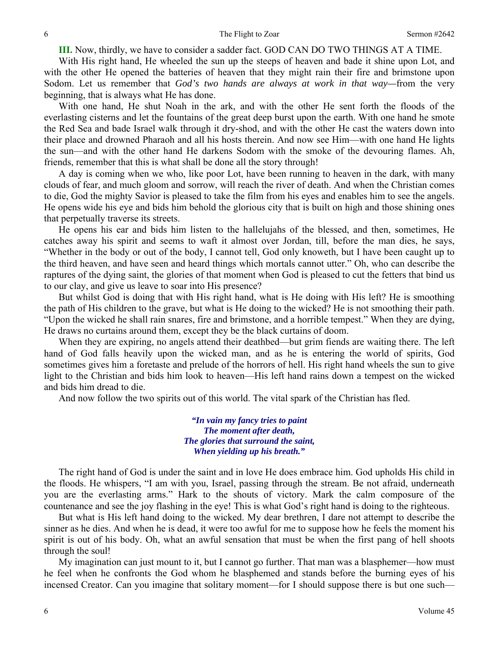**III.** Now, thirdly, we have to consider a sadder fact. GOD CAN DO TWO THINGS AT A TIME.

 With His right hand, He wheeled the sun up the steeps of heaven and bade it shine upon Lot, and with the other He opened the batteries of heaven that they might rain their fire and brimstone upon Sodom. Let us remember that *God's two hands are always at work in that way—*from the very beginning, that is always what He has done.

 With one hand, He shut Noah in the ark, and with the other He sent forth the floods of the everlasting cisterns and let the fountains of the great deep burst upon the earth. With one hand he smote the Red Sea and bade Israel walk through it dry-shod, and with the other He cast the waters down into their place and drowned Pharaoh and all his hosts therein. And now see Him—with one hand He lights the sun—and with the other hand He darkens Sodom with the smoke of the devouring flames. Ah, friends, remember that this is what shall be done all the story through!

 A day is coming when we who, like poor Lot, have been running to heaven in the dark, with many clouds of fear, and much gloom and sorrow, will reach the river of death. And when the Christian comes to die, God the mighty Savior is pleased to take the film from his eyes and enables him to see the angels. He opens wide his eye and bids him behold the glorious city that is built on high and those shining ones that perpetually traverse its streets.

 He opens his ear and bids him listen to the hallelujahs of the blessed, and then, sometimes, He catches away his spirit and seems to waft it almost over Jordan, till, before the man dies, he says, "Whether in the body or out of the body, I cannot tell, God only knoweth, but I have been caught up to the third heaven, and have seen and heard things which mortals cannot utter." Oh, who can describe the raptures of the dying saint, the glories of that moment when God is pleased to cut the fetters that bind us to our clay, and give us leave to soar into His presence?

 But whilst God is doing that with His right hand, what is He doing with His left? He is smoothing the path of His children to the grave, but what is He doing to the wicked? He is not smoothing their path. "Upon the wicked he shall rain snares, fire and brimstone, and a horrible tempest." When they are dying, He draws no curtains around them, except they be the black curtains of doom.

 When they are expiring, no angels attend their deathbed—but grim fiends are waiting there. The left hand of God falls heavily upon the wicked man, and as he is entering the world of spirits, God sometimes gives him a foretaste and prelude of the horrors of hell. His right hand wheels the sun to give light to the Christian and bids him look to heaven—His left hand rains down a tempest on the wicked and bids him dread to die.

And now follow the two spirits out of this world. The vital spark of the Christian has fled.

*"In vain my fancy tries to paint The moment after death, The glories that surround the saint, When yielding up his breath."* 

 The right hand of God is under the saint and in love He does embrace him. God upholds His child in the floods. He whispers, "I am with you, Israel, passing through the stream. Be not afraid, underneath you are the everlasting arms." Hark to the shouts of victory. Mark the calm composure of the countenance and see the joy flashing in the eye! This is what God's right hand is doing to the righteous.

 But what is His left hand doing to the wicked. My dear brethren, I dare not attempt to describe the sinner as he dies. And when he is dead, it were too awful for me to suppose how he feels the moment his spirit is out of his body. Oh, what an awful sensation that must be when the first pang of hell shoots through the soul!

 My imagination can just mount to it, but I cannot go further. That man was a blasphemer—how must he feel when he confronts the God whom he blasphemed and stands before the burning eyes of his incensed Creator. Can you imagine that solitary moment—for I should suppose there is but one such—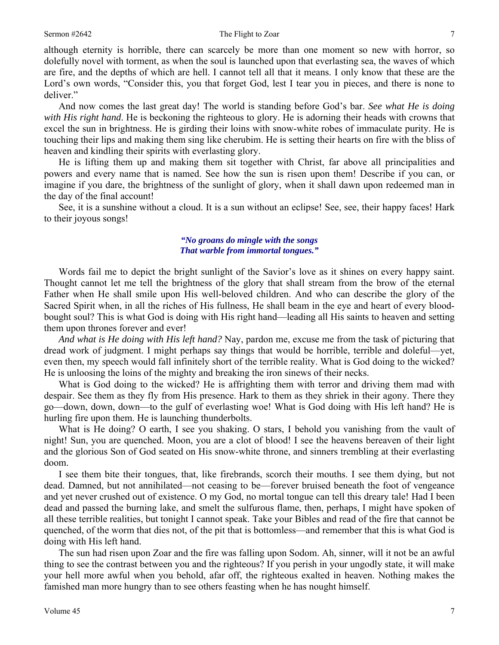#### Sermon #2642 The Flight to Zoar 7

although eternity is horrible, there can scarcely be more than one moment so new with horror, so dolefully novel with torment, as when the soul is launched upon that everlasting sea, the waves of which are fire, and the depths of which are hell. I cannot tell all that it means. I only know that these are the Lord's own words, "Consider this, you that forget God, lest I tear you in pieces, and there is none to deliver."

 And now comes the last great day! The world is standing before God's bar. *See what He is doing with His right hand*. He is beckoning the righteous to glory. He is adorning their heads with crowns that excel the sun in brightness. He is girding their loins with snow-white robes of immaculate purity. He is touching their lips and making them sing like cherubim. He is setting their hearts on fire with the bliss of heaven and kindling their spirits with everlasting glory.

 He is lifting them up and making them sit together with Christ, far above all principalities and powers and every name that is named. See how the sun is risen upon them! Describe if you can, or imagine if you dare, the brightness of the sunlight of glory, when it shall dawn upon redeemed man in the day of the final account!

 See, it is a sunshine without a cloud. It is a sun without an eclipse! See, see, their happy faces! Hark to their joyous songs!

#### *"No groans do mingle with the songs That warble from immortal tongues."*

 Words fail me to depict the bright sunlight of the Savior's love as it shines on every happy saint. Thought cannot let me tell the brightness of the glory that shall stream from the brow of the eternal Father when He shall smile upon His well-beloved children. And who can describe the glory of the Sacred Spirit when, in all the riches of His fullness, He shall beam in the eye and heart of every bloodbought soul? This is what God is doing with His right hand—leading all His saints to heaven and setting them upon thrones forever and ever!

*And what is He doing with His left hand?* Nay, pardon me, excuse me from the task of picturing that dread work of judgment. I might perhaps say things that would be horrible, terrible and doleful—yet, even then, my speech would fall infinitely short of the terrible reality. What is God doing to the wicked? He is unloosing the loins of the mighty and breaking the iron sinews of their necks.

 What is God doing to the wicked? He is affrighting them with terror and driving them mad with despair. See them as they fly from His presence. Hark to them as they shriek in their agony. There they go—down, down, down—to the gulf of everlasting woe! What is God doing with His left hand? He is hurling fire upon them. He is launching thunderbolts.

What is He doing? O earth, I see you shaking. O stars, I behold you vanishing from the vault of night! Sun, you are quenched. Moon, you are a clot of blood! I see the heavens bereaven of their light and the glorious Son of God seated on His snow-white throne, and sinners trembling at their everlasting doom.

 I see them bite their tongues, that, like firebrands, scorch their mouths. I see them dying, but not dead. Damned, but not annihilated—not ceasing to be—forever bruised beneath the foot of vengeance and yet never crushed out of existence. O my God, no mortal tongue can tell this dreary tale! Had I been dead and passed the burning lake, and smelt the sulfurous flame, then, perhaps, I might have spoken of all these terrible realities, but tonight I cannot speak. Take your Bibles and read of the fire that cannot be quenched, of the worm that dies not, of the pit that is bottomless—and remember that this is what God is doing with His left hand.

 The sun had risen upon Zoar and the fire was falling upon Sodom. Ah, sinner, will it not be an awful thing to see the contrast between you and the righteous? If you perish in your ungodly state, it will make your hell more awful when you behold, afar off, the righteous exalted in heaven. Nothing makes the famished man more hungry than to see others feasting when he has nought himself.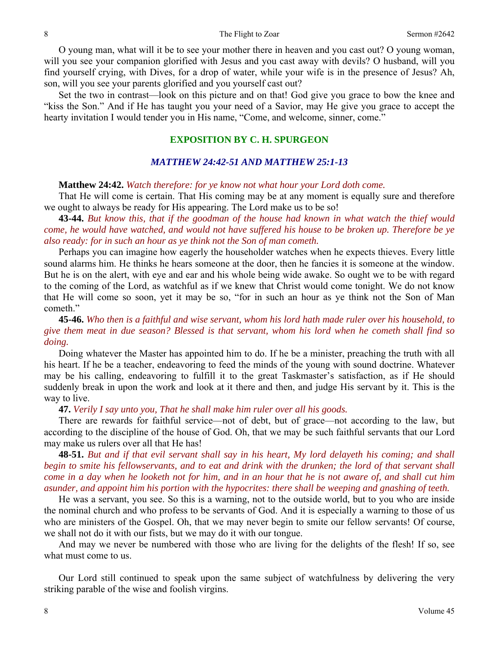O young man, what will it be to see your mother there in heaven and you cast out? O young woman, will you see your companion glorified with Jesus and you cast away with devils? O husband, will you find yourself crying, with Dives, for a drop of water, while your wife is in the presence of Jesus? Ah, son, will you see your parents glorified and you yourself cast out?

 Set the two in contrast—look on this picture and on that! God give you grace to bow the knee and "kiss the Son." And if He has taught you your need of a Savior, may He give you grace to accept the hearty invitation I would tender you in His name, "Come, and welcome, sinner, come."

#### **EXPOSITION BY C. H. SPURGEON**

#### *MATTHEW 24:42-51 AND MATTHEW 25:1-13*

#### **Matthew 24:42.** *Watch therefore: for ye know not what hour your Lord doth come.*

That He will come is certain. That His coming may be at any moment is equally sure and therefore we ought to always be ready for His appearing. The Lord make us to be so!

**43-44.** *But know this, that if the goodman of the house had known in what watch the thief would come, he would have watched, and would not have suffered his house to be broken up. Therefore be ye also ready: for in such an hour as ye think not the Son of man cometh.* 

Perhaps you can imagine how eagerly the householder watches when he expects thieves. Every little sound alarms him. He thinks he hears someone at the door, then he fancies it is someone at the window. But he is on the alert, with eye and ear and his whole being wide awake. So ought we to be with regard to the coming of the Lord, as watchful as if we knew that Christ would come tonight. We do not know that He will come so soon, yet it may be so, "for in such an hour as ye think not the Son of Man cometh."

## **45-46.** *Who then is a faithful and wise servant, whom his lord hath made ruler over his household, to give them meat in due season? Blessed is that servant, whom his lord when he cometh shall find so doing.*

Doing whatever the Master has appointed him to do. If he be a minister, preaching the truth with all his heart. If he be a teacher, endeavoring to feed the minds of the young with sound doctrine. Whatever may be his calling, endeavoring to fulfill it to the great Taskmaster's satisfaction, as if He should suddenly break in upon the work and look at it there and then, and judge His servant by it. This is the way to live.

**47.** *Verily I say unto you, That he shall make him ruler over all his goods.* 

There are rewards for faithful service—not of debt, but of grace—not according to the law, but according to the discipline of the house of God. Oh, that we may be such faithful servants that our Lord may make us rulers over all that He has!

**48-51.** *But and if that evil servant shall say in his heart, My lord delayeth his coming; and shall begin to smite his fellowservants, and to eat and drink with the drunken; the lord of that servant shall come in a day when he looketh not for him, and in an hour that he is not aware of, and shall cut him asunder, and appoint him his portion with the hypocrites: there shall be weeping and gnashing of teeth.* 

He was a servant, you see. So this is a warning, not to the outside world, but to you who are inside the nominal church and who profess to be servants of God. And it is especially a warning to those of us who are ministers of the Gospel. Oh, that we may never begin to smite our fellow servants! Of course, we shall not do it with our fists, but we may do it with our tongue.

 And may we never be numbered with those who are living for the delights of the flesh! If so, see what must come to us.

 Our Lord still continued to speak upon the same subject of watchfulness by delivering the very striking parable of the wise and foolish virgins.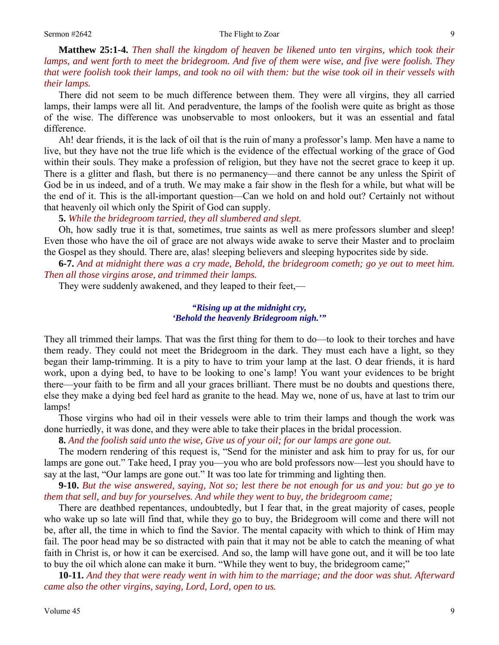**Matthew 25:1-4.** *Then shall the kingdom of heaven be likened unto ten virgins, which took their lamps, and went forth to meet the bridegroom. And five of them were wise, and five were foolish. They that were foolish took their lamps, and took no oil with them: but the wise took oil in their vessels with their lamps.* 

There did not seem to be much difference between them. They were all virgins, they all carried lamps, their lamps were all lit. And peradventure, the lamps of the foolish were quite as bright as those of the wise. The difference was unobservable to most onlookers, but it was an essential and fatal difference.

 Ah! dear friends, it is the lack of oil that is the ruin of many a professor's lamp. Men have a name to live, but they have not the true life which is the evidence of the effectual working of the grace of God within their souls. They make a profession of religion, but they have not the secret grace to keep it up. There is a glitter and flash, but there is no permanency—and there cannot be any unless the Spirit of God be in us indeed, and of a truth. We may make a fair show in the flesh for a while, but what will be the end of it. This is the all-important question—Can we hold on and hold out? Certainly not without that heavenly oil which only the Spirit of God can supply.

**5.** *While the bridegroom tarried, they all slumbered and slept.* 

Oh, how sadly true it is that, sometimes, true saints as well as mere professors slumber and sleep! Even those who have the oil of grace are not always wide awake to serve their Master and to proclaim the Gospel as they should. There are, alas! sleeping believers and sleeping hypocrites side by side.

**6-7.** *And at midnight there was a cry made, Behold, the bridegroom cometh; go ye out to meet him. Then all those virgins arose, and trimmed their lamps.* 

They were suddenly awakened, and they leaped to their feet,—

#### *"Rising up at the midnight cry, 'Behold the heavenly Bridegroom nigh.'"*

They all trimmed their lamps. That was the first thing for them to do—to look to their torches and have them ready. They could not meet the Bridegroom in the dark. They must each have a light, so they began their lamp-trimming. It is a pity to have to trim your lamp at the last. O dear friends, it is hard work, upon a dying bed, to have to be looking to one's lamp! You want your evidences to be bright there—your faith to be firm and all your graces brilliant. There must be no doubts and questions there, else they make a dying bed feel hard as granite to the head. May we, none of us, have at last to trim our lamps!

 Those virgins who had oil in their vessels were able to trim their lamps and though the work was done hurriedly, it was done, and they were able to take their places in the bridal procession.

**8.** *And the foolish said unto the wise, Give us of your oil; for our lamps are gone out.* 

The modern rendering of this request is, "Send for the minister and ask him to pray for us, for our lamps are gone out." Take heed, I pray you—you who are bold professors now—lest you should have to say at the last, "Our lamps are gone out." It was too late for trimming and lighting then.

**9-10.** *But the wise answered, saying, Not so; lest there be not enough for us and you: but go ye to them that sell, and buy for yourselves. And while they went to buy, the bridegroom came;* 

There are deathbed repentances, undoubtedly, but I fear that, in the great majority of cases, people who wake up so late will find that, while they go to buy, the Bridegroom will come and there will not be, after all, the time in which to find the Savior. The mental capacity with which to think of Him may fail. The poor head may be so distracted with pain that it may not be able to catch the meaning of what faith in Christ is, or how it can be exercised. And so, the lamp will have gone out, and it will be too late to buy the oil which alone can make it burn. "While they went to buy, the bridegroom came;"

**10-11.** *And they that were ready went in with him to the marriage; and the door was shut. Afterward came also the other virgins, saying, Lord, Lord, open to us.*